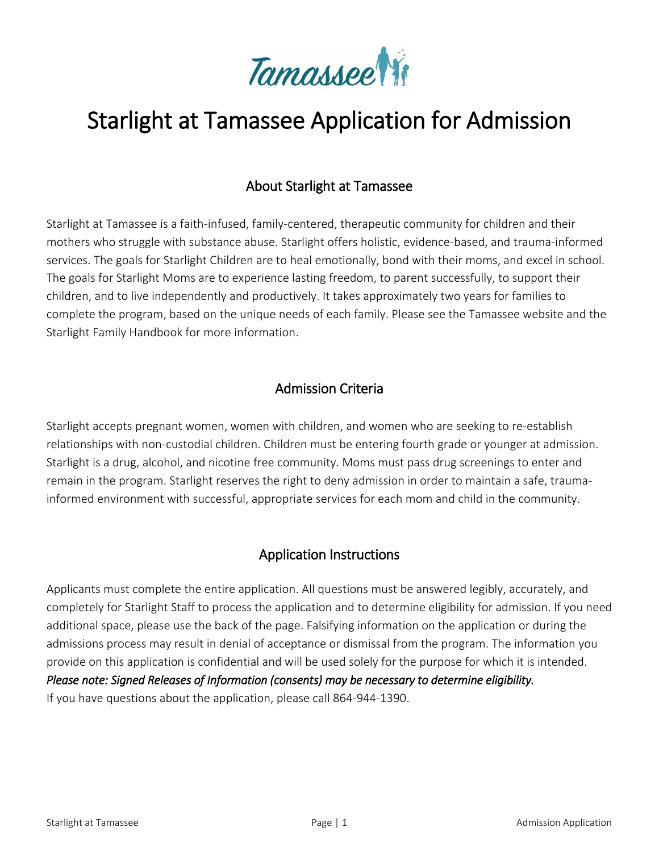

# Starlight at Tamassee Application for Admission

## About Starlight at Tamassee

Starlight at Tamassee is a faith-infused, family-centered, therapeutic community for children and their mothers who struggle with substance abuse. Starlight offers holistic, evidence-based, and trauma-informed services. The goals for Starlight Children are to heal emotionally, bond with their moms, and excel in school. The goals for Starlight Moms are to experience lasting freedom, to parent successfully, to support their children, and to live independently and productively. It takes approximately two years for families to complete the program, based on the unique needs of each family. Please see the Tamassee website and the Starlight Family Handbook for more information.

## Admission Criteria

Starlight accepts pregnant women, women with children, and women who are seeking to re-establish relationships with non-custodial children. Children must be entering fourth grade or younger at admission. Starlight is a drug, alcohol, and nicotine free community. Moms must pass drug screenings to enter and remain in the program. Starlight reserves the right to deny admission in order to maintain a safe, traumainformed environment with successful, appropriate services for each mom and child in the community.

## Application Instructions

Applicants must complete the entire application. All questions must be answered legibly, accurately, and completely for Starlight Staff to process the application and to determine eligibility for admission. If you need additional space, please use the back of the page. Falsifying information on the application or during the admissions process may result in denial of acceptance or dismissal from the program. The information you provide on this application is confidential and will be used solely for the purpose for which it is intended. *Please note: Signed Releases of Information (consents) may be necessary to determine eligibility.* If you have questions about the application, please call 864-944-1390.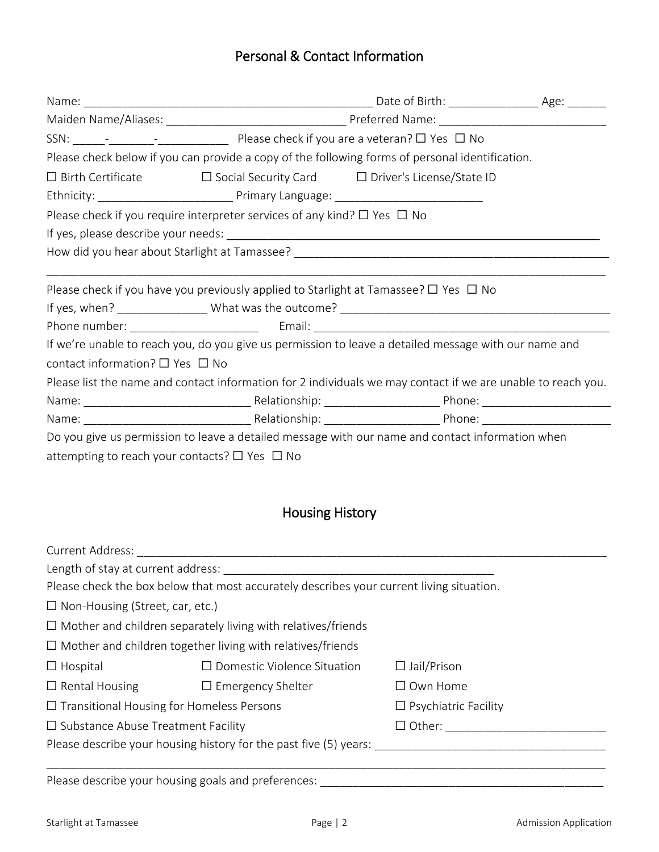# Personal & Contact Information

| Please check below if you can provide a copy of the following forms of personal identification.              |                                                                                                       |  |  |  |  |  |  |
|--------------------------------------------------------------------------------------------------------------|-------------------------------------------------------------------------------------------------------|--|--|--|--|--|--|
|                                                                                                              | $\Box$ Birth Certificate $\Box$ Social Security Card $\Box$ Driver's License/State ID                 |  |  |  |  |  |  |
|                                                                                                              |                                                                                                       |  |  |  |  |  |  |
|                                                                                                              | Please check if you require interpreter services of any kind? $\Box$ Yes $\Box$ No                    |  |  |  |  |  |  |
|                                                                                                              |                                                                                                       |  |  |  |  |  |  |
|                                                                                                              |                                                                                                       |  |  |  |  |  |  |
|                                                                                                              | Please check if you have you previously applied to Starlight at Tamassee? $\Box$ Yes $\Box$ No        |  |  |  |  |  |  |
|                                                                                                              |                                                                                                       |  |  |  |  |  |  |
|                                                                                                              |                                                                                                       |  |  |  |  |  |  |
|                                                                                                              | If we're unable to reach you, do you give us permission to leave a detailed message with our name and |  |  |  |  |  |  |
| contact information? $\Box$ Yes $\Box$ No                                                                    |                                                                                                       |  |  |  |  |  |  |
| Please list the name and contact information for 2 individuals we may contact if we are unable to reach you. |                                                                                                       |  |  |  |  |  |  |
|                                                                                                              |                                                                                                       |  |  |  |  |  |  |
|                                                                                                              |                                                                                                       |  |  |  |  |  |  |
| Do you give us permission to leave a detailed message with our name and contact information when             |                                                                                                       |  |  |  |  |  |  |
| attempting to reach your contacts? $\Box$ Yes $\Box$ No                                                      |                                                                                                       |  |  |  |  |  |  |

# Housing History

| Current Address:                                                                |                                                                                          |                    |  |  |  |
|---------------------------------------------------------------------------------|------------------------------------------------------------------------------------------|--------------------|--|--|--|
| Length of stay at current address:                                              |                                                                                          |                    |  |  |  |
|                                                                                 | Please check the box below that most accurately describes your current living situation. |                    |  |  |  |
| $\Box$ Non-Housing (Street, car, etc.)                                          |                                                                                          |                    |  |  |  |
|                                                                                 | $\Box$ Mother and children separately living with relatives/friends                      |                    |  |  |  |
|                                                                                 | $\Box$ Mother and children together living with relatives/friends                        |                    |  |  |  |
| $\Box$ Hospital                                                                 | $\Box$ Domestic Violence Situation                                                       | $\Box$ Jail/Prison |  |  |  |
| $\Box$ Rental Housing                                                           | $\Box$ Emergency Shelter                                                                 | $\Box$ Own Home    |  |  |  |
| $\Box$ Transitional Housing for Homeless Persons<br>$\Box$ Psychiatric Facility |                                                                                          |                    |  |  |  |
| $\Box$ Substance Abuse Treatment Facility<br>$\Box$ Other:                      |                                                                                          |                    |  |  |  |
| Please describe your housing history for the past five (5) years:               |                                                                                          |                    |  |  |  |
|                                                                                 |                                                                                          |                    |  |  |  |

Please describe your housing goals and preferences: \_\_\_\_\_\_\_\_\_\_\_\_\_\_\_\_\_\_\_\_\_\_\_\_\_\_\_\_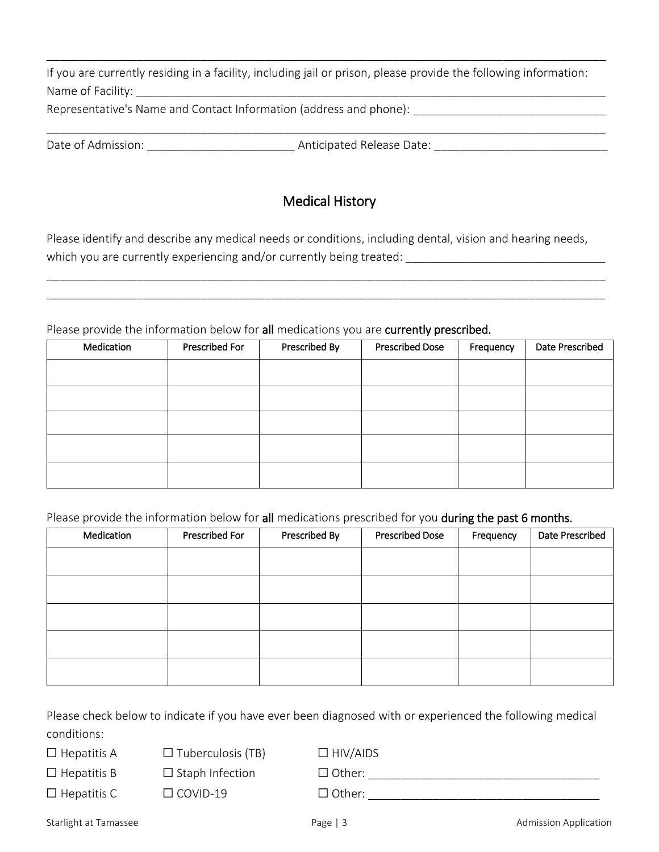| If you are currently residing in a facility, including jail or prison, please provide the following information: |  |
|------------------------------------------------------------------------------------------------------------------|--|
| Name of Facility:                                                                                                |  |
| Representative's Name and Contact Information (address and phone):                                               |  |

\_\_\_\_\_\_\_\_\_\_\_\_\_\_\_\_\_\_\_\_\_\_\_\_\_\_\_\_\_\_\_\_\_\_\_\_\_\_\_\_\_\_\_\_\_\_\_\_\_\_\_\_\_\_\_\_\_\_\_\_\_\_\_\_\_\_\_\_\_\_\_\_\_\_\_\_\_\_\_\_\_\_\_\_\_\_\_

\_\_\_\_\_\_\_\_\_\_\_\_\_\_\_\_\_\_\_\_\_\_\_\_\_\_\_\_\_\_\_\_\_\_\_\_\_\_\_\_\_\_\_\_\_\_\_\_\_\_\_\_\_\_\_\_\_\_\_\_\_\_\_\_\_\_\_\_\_\_\_\_\_\_\_\_\_\_\_\_\_\_\_\_\_\_\_

Date of Admission: \_\_\_\_\_\_\_\_\_\_\_\_\_\_\_\_\_\_\_\_\_\_\_ Anticipated Release Date: \_\_\_\_\_\_\_\_\_\_\_\_\_\_\_\_\_\_\_\_\_\_\_\_\_\_\_

## Medical History

Please identify and describe any medical needs or conditions, including dental, vision and hearing needs, which you are currently experiencing and/or currently being treated: \_\_\_\_\_\_\_\_\_\_\_\_\_\_\_\_\_\_\_\_\_\_\_\_\_\_\_\_\_\_\_

\_\_\_\_\_\_\_\_\_\_\_\_\_\_\_\_\_\_\_\_\_\_\_\_\_\_\_\_\_\_\_\_\_\_\_\_\_\_\_\_\_\_\_\_\_\_\_\_\_\_\_\_\_\_\_\_\_\_\_\_\_\_\_\_\_\_\_\_\_\_\_\_\_\_\_\_\_\_\_\_\_\_\_\_\_\_\_ \_\_\_\_\_\_\_\_\_\_\_\_\_\_\_\_\_\_\_\_\_\_\_\_\_\_\_\_\_\_\_\_\_\_\_\_\_\_\_\_\_\_\_\_\_\_\_\_\_\_\_\_\_\_\_\_\_\_\_\_\_\_\_\_\_\_\_\_\_\_\_\_\_\_\_\_\_\_\_\_\_\_\_\_\_\_\_

Please provide the information below for all medications you are currently prescribed.

| Medication | Prescribed For | Prescribed By | <b>Prescribed Dose</b> | Frequency | Date Prescribed |
|------------|----------------|---------------|------------------------|-----------|-----------------|
|            |                |               |                        |           |                 |
|            |                |               |                        |           |                 |
|            |                |               |                        |           |                 |
|            |                |               |                        |           |                 |
|            |                |               |                        |           |                 |

## Please provide the information below for all medications prescribed for you during the past 6 months.

| Medication | <b>Prescribed For</b> | Prescribed By | <b>Prescribed Dose</b> | Frequency | Date Prescribed |
|------------|-----------------------|---------------|------------------------|-----------|-----------------|
|            |                       |               |                        |           |                 |
|            |                       |               |                        |           |                 |
|            |                       |               |                        |           |                 |
|            |                       |               |                        |           |                 |
|            |                       |               |                        |           |                 |
|            |                       |               |                        |           |                 |
|            |                       |               |                        |           |                 |

Please check below to indicate if you have ever been diagnosed with or experienced the following medical conditions:

☐ Hepatitis A ☐ Tuberculosis (TB) ☐ HIV/AIDS

☐ Hepatitis B ☐ Staph Infection ☐ Other: \_\_\_\_\_\_\_\_\_\_\_\_\_\_\_\_\_\_\_\_\_\_\_\_\_\_\_\_\_\_\_\_\_\_\_\_

 $\Box$  Hepatitis C  $\Box$  COVID-19  $\Box$  Other:

Starlight at Tamassee **Page | 3** Admission Application **Page | 3** Admission Application **Page | 3** Admission Application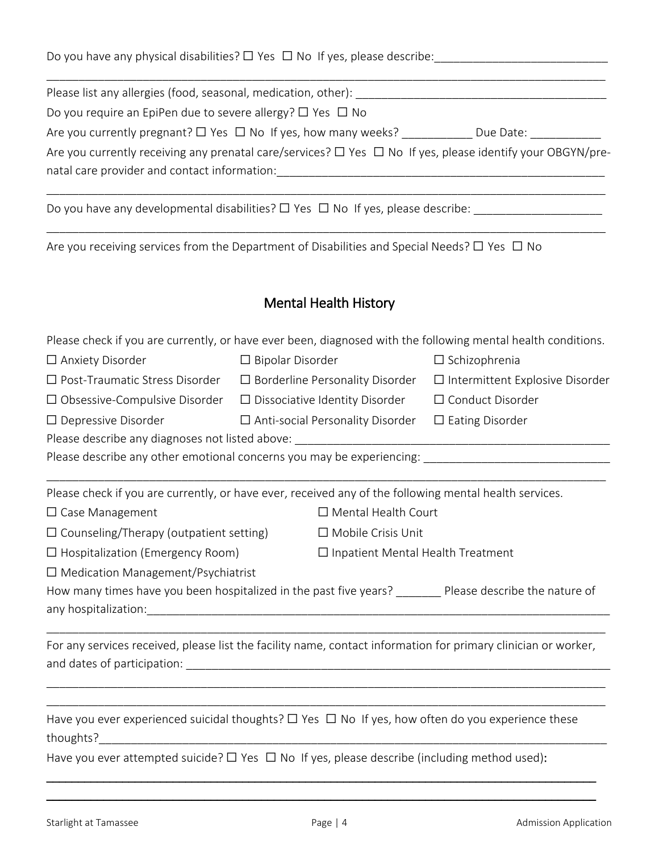Do you have any physical disabilities? ☐ Yes ☐ No If yes, please describe:\_\_\_\_\_\_\_\_\_\_\_\_\_\_\_\_\_\_\_\_\_\_\_\_\_\_\_

Please list any allergies (food, seasonal, medication, other): Do you require an EpiPen due to severe allergy?  $\Box$  Yes  $\Box$  No Are you currently pregnant? □ Yes □ No If yes, how many weeks? \_\_\_\_\_\_\_\_\_\_\_\_\_\_\_\_ Due Date: Are you currently receiving any prenatal care/services? □ Yes □ No If yes, please identify your OBGYN/prenatal care provider and contact information:

\_\_\_\_\_\_\_\_\_\_\_\_\_\_\_\_\_\_\_\_\_\_\_\_\_\_\_\_\_\_\_\_\_\_\_\_\_\_\_\_\_\_\_\_\_\_\_\_\_\_\_\_\_\_\_\_\_\_\_\_\_\_\_\_\_\_\_\_\_\_\_\_\_\_\_\_\_\_\_\_\_\_\_\_\_\_\_

\_\_\_\_\_\_\_\_\_\_\_\_\_\_\_\_\_\_\_\_\_\_\_\_\_\_\_\_\_\_\_\_\_\_\_\_\_\_\_\_\_\_\_\_\_\_\_\_\_\_\_\_\_\_\_\_\_\_\_\_\_\_\_\_\_\_\_\_\_\_\_\_\_\_\_\_\_\_\_\_\_\_\_\_\_\_\_

\_\_\_\_\_\_\_\_\_\_\_\_\_\_\_\_\_\_\_\_\_\_\_\_\_\_\_\_\_\_\_\_\_\_\_\_\_\_\_\_\_\_\_\_\_\_\_\_\_\_\_\_\_\_\_\_\_\_\_\_\_\_\_\_\_\_\_\_\_\_\_\_\_\_\_\_\_\_\_\_\_\_\_\_\_\_\_

Do you have any developmental disabilities? ☐ Yes ☐ No If yes, please describe: \_\_\_\_\_\_\_\_\_\_\_\_\_\_\_\_\_\_\_\_

Are you receiving services from the Department of Disabilities and Special Needs?  $\Box$  Yes  $\Box$  No

## Mental Health History

Please check if you are currently, or have ever been, diagnosed with the following mental health conditions.

| $\Box$ Anxiety Disorder                                                                                                  | $\Box$ Bipolar Disorder                  | $\Box$ Schizophrenia                      |
|--------------------------------------------------------------------------------------------------------------------------|------------------------------------------|-------------------------------------------|
| $\Box$ Post-Traumatic Stress Disorder                                                                                    | $\Box$ Borderline Personality Disorder   | $\square$ Intermittent Explosive Disorder |
| $\Box$ Obsessive-Compulsive Disorder                                                                                     | $\Box$ Dissociative Identity Disorder    | □ Conduct Disorder                        |
| $\Box$ Depressive Disorder                                                                                               | $\Box$ Anti-social Personality Disorder  | $\Box$ Eating Disorder                    |
|                                                                                                                          |                                          |                                           |
| Please describe any other emotional concerns you may be experiencing: ______________________________                     |                                          |                                           |
| Please check if you are currently, or have ever, received any of the following mental health services.                   |                                          |                                           |
| $\Box$ Case Management                                                                                                   | $\Box$ Mental Health Court               |                                           |
| $\Box$ Counseling/Therapy (outpatient setting)                                                                           | $\Box$ Mobile Crisis Unit                |                                           |
| $\Box$ Hospitalization (Emergency Room)                                                                                  | $\Box$ Inpatient Mental Health Treatment |                                           |
| $\Box$ Medication Management/Psychiatrist                                                                                |                                          |                                           |
| How many times have you been hospitalized in the past five years? _______ Please describe the nature of                  |                                          |                                           |
|                                                                                                                          |                                          |                                           |
| For any services received, please list the facility name, contact information for primary clinician or worker,           |                                          |                                           |
| Have you ever experienced suicidal thoughts? $\Box$ Yes $\Box$ No If yes, how often do you experience these<br>thoughts? |                                          |                                           |
| Have you ever attempted suicide? $\Box$ Yes $\Box$ No If yes, please describe (including method used):                   |                                          |                                           |

\_\_\_\_\_\_\_\_\_\_\_\_\_\_\_\_\_\_\_\_\_\_\_\_\_\_\_\_\_\_\_\_\_\_\_\_\_\_\_\_\_\_\_\_\_\_\_\_\_\_\_\_\_\_\_\_\_\_\_\_\_\_\_\_\_\_\_\_\_\_\_\_\_\_\_\_\_\_\_\_\_\_\_\_\_\_\_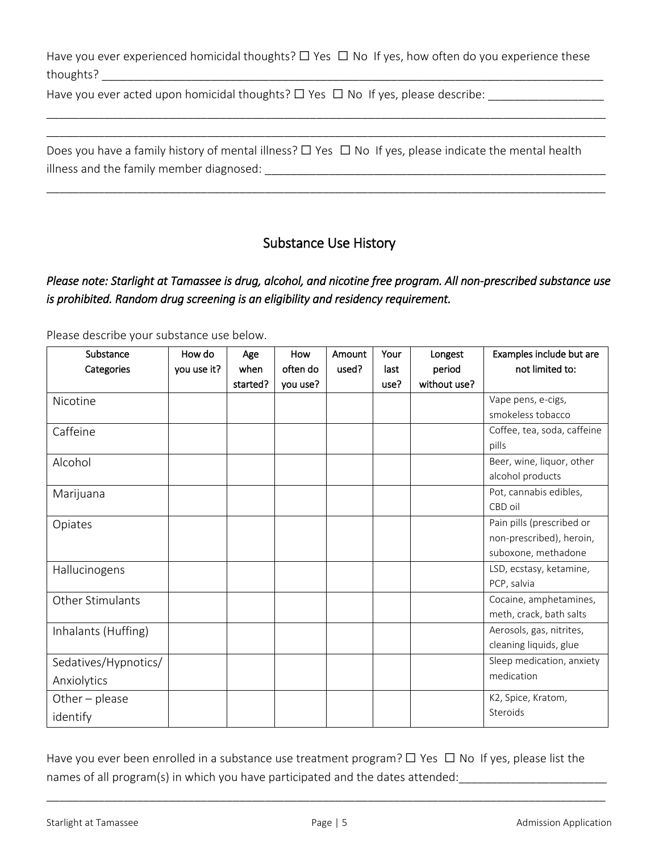Have you ever experienced homicidal thoughts?  $\Box$  Yes  $\Box$  No If yes, how often do you experience these thoughts? \_\_\_\_\_\_\_\_\_\_\_\_\_\_\_\_\_\_\_\_\_\_\_\_\_\_\_\_\_\_\_\_\_\_\_\_\_\_\_\_\_\_\_\_\_\_\_\_\_\_\_\_\_\_\_\_\_\_\_\_\_\_\_\_\_\_\_\_\_\_\_\_\_\_\_\_\_\_

\_\_\_\_\_\_\_\_\_\_\_\_\_\_\_\_\_\_\_\_\_\_\_\_\_\_\_\_\_\_\_\_\_\_\_\_\_\_\_\_\_\_\_\_\_\_\_\_\_\_\_\_\_\_\_\_\_\_\_\_\_\_\_\_\_\_\_\_\_\_\_\_\_\_\_\_\_\_\_\_\_\_\_\_\_\_\_ \_\_\_\_\_\_\_\_\_\_\_\_\_\_\_\_\_\_\_\_\_\_\_\_\_\_\_\_\_\_\_\_\_\_\_\_\_\_\_\_\_\_\_\_\_\_\_\_\_\_\_\_\_\_\_\_\_\_\_\_\_\_\_\_\_\_\_\_\_\_\_\_\_\_\_\_\_\_\_\_\_\_\_\_\_\_\_

\_\_\_\_\_\_\_\_\_\_\_\_\_\_\_\_\_\_\_\_\_\_\_\_\_\_\_\_\_\_\_\_\_\_\_\_\_\_\_\_\_\_\_\_\_\_\_\_\_\_\_\_\_\_\_\_\_\_\_\_\_\_\_\_\_\_\_\_\_\_\_\_\_\_\_\_\_\_\_\_\_\_\_\_\_\_\_

Have you ever acted upon homicidal thoughts?  $\Box$  Yes  $\Box$  No If yes, please describe:

| Does you have a family history of mental illness? $\Box$ Yes $\Box$ No If yes, please indicate the mental health |  |  |
|------------------------------------------------------------------------------------------------------------------|--|--|
| illness and the family member diagnosed:                                                                         |  |  |

# Substance Use History

## *Please note: Starlight at Tamassee is drug, alcohol, and nicotine free program. All non-prescribed substance use is prohibited. Random drug screening is an eligibility and residency requirement.*

| Substance               | How do      | Age      | How      | Amount | Your | Longest      | Examples include but are    |
|-------------------------|-------------|----------|----------|--------|------|--------------|-----------------------------|
| Categories              | you use it? | when     | often do | used?  | last | period       | not limited to:             |
|                         |             | started? | you use? |        | use? | without use? |                             |
| Nicotine                |             |          |          |        |      |              | Vape pens, e-cigs,          |
|                         |             |          |          |        |      |              | smokeless tobacco           |
| Caffeine                |             |          |          |        |      |              | Coffee, tea, soda, caffeine |
|                         |             |          |          |        |      |              | pills                       |
| Alcohol                 |             |          |          |        |      |              | Beer, wine, liquor, other   |
|                         |             |          |          |        |      |              | alcohol products            |
| Marijuana               |             |          |          |        |      |              | Pot, cannabis edibles,      |
|                         |             |          |          |        |      |              | CBD oil                     |
| Opiates                 |             |          |          |        |      |              | Pain pills (prescribed or   |
|                         |             |          |          |        |      |              | non-prescribed), heroin,    |
|                         |             |          |          |        |      |              | suboxone, methadone         |
| Hallucinogens           |             |          |          |        |      |              | LSD, ecstasy, ketamine,     |
|                         |             |          |          |        |      |              | PCP, salvia                 |
| <b>Other Stimulants</b> |             |          |          |        |      |              | Cocaine, amphetamines,      |
|                         |             |          |          |        |      |              | meth, crack, bath salts     |
| Inhalants (Huffing)     |             |          |          |        |      |              | Aerosols, gas, nitrites,    |
|                         |             |          |          |        |      |              | cleaning liquids, glue      |
| Sedatives/Hypnotics/    |             |          |          |        |      |              | Sleep medication, anxiety   |
| Anxiolytics             |             |          |          |        |      |              | medication                  |
| Other - please          |             |          |          |        |      |              | K2, Spice, Kratom,          |
| identify                |             |          |          |        |      |              | Steroids                    |

Please describe your substance use below.

Have you ever been enrolled in a substance use treatment program?  $\Box$  Yes  $\Box$  No If yes, please list the names of all program(s) in which you have participated and the dates attended:\_\_\_\_\_\_\_\_\_\_\_\_\_\_\_\_\_\_\_\_\_\_\_

\_\_\_\_\_\_\_\_\_\_\_\_\_\_\_\_\_\_\_\_\_\_\_\_\_\_\_\_\_\_\_\_\_\_\_\_\_\_\_\_\_\_\_\_\_\_\_\_\_\_\_\_\_\_\_\_\_\_\_\_\_\_\_\_\_\_\_\_\_\_\_\_\_\_\_\_\_\_\_\_\_\_\_\_\_\_\_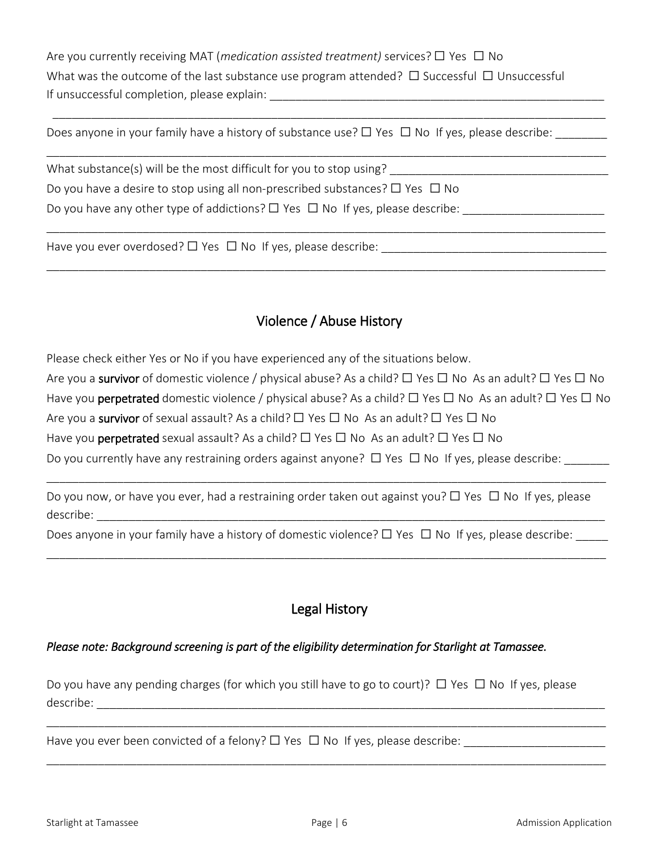Are you currently receiving MAT (*medication assisted treatment)* services? ☐ Yes ☐ No What was the outcome of the last substance use program attended?  $\Box$  Successful  $\Box$  Unsuccessful If unsuccessful completion, please explain:

\_\_\_\_\_\_\_\_\_\_\_\_\_\_\_\_\_\_\_\_\_\_\_\_\_\_\_\_\_\_\_\_\_\_\_\_\_\_\_\_\_\_\_\_\_\_\_\_\_\_\_\_\_\_\_\_\_\_\_\_\_\_\_\_\_\_\_\_\_\_\_\_\_\_\_\_\_\_\_\_\_\_\_\_\_\_

\_\_\_\_\_\_\_\_\_\_\_\_\_\_\_\_\_\_\_\_\_\_\_\_\_\_\_\_\_\_\_\_\_\_\_\_\_\_\_\_\_\_\_\_\_\_\_\_\_\_\_\_\_\_\_\_\_\_\_\_\_\_\_\_\_\_\_\_\_\_\_\_\_\_\_\_\_\_\_\_\_\_\_\_\_\_\_

\_\_\_\_\_\_\_\_\_\_\_\_\_\_\_\_\_\_\_\_\_\_\_\_\_\_\_\_\_\_\_\_\_\_\_\_\_\_\_\_\_\_\_\_\_\_\_\_\_\_\_\_\_\_\_\_\_\_\_\_\_\_\_\_\_\_\_\_\_\_\_\_\_\_\_\_\_\_\_\_\_\_\_\_\_\_\_

\_\_\_\_\_\_\_\_\_\_\_\_\_\_\_\_\_\_\_\_\_\_\_\_\_\_\_\_\_\_\_\_\_\_\_\_\_\_\_\_\_\_\_\_\_\_\_\_\_\_\_\_\_\_\_\_\_\_\_\_\_\_\_\_\_\_\_\_\_\_\_\_\_\_\_\_\_\_\_\_\_\_\_\_\_\_\_

Does anyone in your family have a history of substance use?  $\Box$  Yes  $\Box$  No If yes, please describe:

What substance(s) will be the most difficult for you to stop using? Do you have a desire to stop using all non-prescribed substances?  $\Box$  Yes  $\Box$  No Do you have any other type of addictions?  $\Box$  Yes  $\Box$  No If yes, please describe:

Have you ever overdosed? ☐ Yes ☐ No If yes, please describe: \_\_\_\_\_\_\_\_\_\_\_\_\_\_\_\_\_\_\_\_\_\_\_\_\_\_\_\_\_\_\_\_\_\_\_

## Violence / Abuse History

Please check either Yes or No if you have experienced any of the situations below.

Are you a survivor of domestic violence / physical abuse? As a child?  $\Box$  Yes  $\Box$  No As an adult?  $\Box$  Yes  $\Box$  No

Have you **perpetrated** domestic violence / physical abuse? As a child?  $\Box$  Yes  $\Box$  No As an adult?  $\Box$  Yes  $\Box$  No

Are you a survivor of sexual assault? As a child?  $\Box$  Yes  $\Box$  No As an adult?  $\Box$  Yes  $\Box$  No

Have you **perpetrated** sexual assault? As a child?  $\Box$  Yes  $\Box$  No As an adult?  $\Box$  Yes  $\Box$  No

Do you currently have any restraining orders against anyone?  $\Box$  Yes  $\Box$  No If yes, please describe:

Do you now, or have you ever, had a restraining order taken out against you? □ Yes □ No If yes, please describe: \_\_\_\_\_\_\_\_\_\_\_\_\_\_\_\_\_\_\_\_\_\_\_\_\_\_\_\_\_\_\_\_\_\_\_\_\_\_\_\_\_\_\_\_\_\_\_\_\_\_\_\_\_\_\_\_\_\_\_\_\_\_\_\_\_\_\_\_\_\_\_\_\_\_\_\_\_\_\_

\_\_\_\_\_\_\_\_\_\_\_\_\_\_\_\_\_\_\_\_\_\_\_\_\_\_\_\_\_\_\_\_\_\_\_\_\_\_\_\_\_\_\_\_\_\_\_\_\_\_\_\_\_\_\_\_\_\_\_\_\_\_\_\_\_\_\_\_\_\_\_\_\_\_\_\_\_\_\_\_\_\_\_\_\_\_\_

Does anyone in your family have a history of domestic violence?  $\Box$  Yes  $\Box$  No If yes, please describe:

\_\_\_\_\_\_\_\_\_\_\_\_\_\_\_\_\_\_\_\_\_\_\_\_\_\_\_\_\_\_\_\_\_\_\_\_\_\_\_\_\_\_\_\_\_\_\_\_\_\_\_\_\_\_\_\_\_\_\_\_\_\_\_\_\_\_\_\_\_\_\_\_\_\_\_\_\_\_\_\_\_\_\_\_\_\_\_

# Legal History

## *Please note: Background screening is part of the eligibility determination for Starlight at Tamassee.*

Do you have any pending charges (for which you still have to go to court)?  $\Box$  Yes  $\Box$  No If yes, please describe: \_\_\_\_\_\_\_\_\_\_\_\_\_\_\_\_\_\_\_\_\_\_\_\_\_\_\_\_\_\_\_\_\_\_\_\_\_\_\_\_\_\_\_\_\_\_\_\_\_\_\_\_\_\_\_\_\_\_\_\_\_\_\_\_\_\_\_\_\_\_\_\_\_\_\_\_\_\_\_

\_\_\_\_\_\_\_\_\_\_\_\_\_\_\_\_\_\_\_\_\_\_\_\_\_\_\_\_\_\_\_\_\_\_\_\_\_\_\_\_\_\_\_\_\_\_\_\_\_\_\_\_\_\_\_\_\_\_\_\_\_\_\_\_\_\_\_\_\_\_\_\_\_\_\_\_\_\_\_\_\_\_\_\_\_\_\_

\_\_\_\_\_\_\_\_\_\_\_\_\_\_\_\_\_\_\_\_\_\_\_\_\_\_\_\_\_\_\_\_\_\_\_\_\_\_\_\_\_\_\_\_\_\_\_\_\_\_\_\_\_\_\_\_\_\_\_\_\_\_\_\_\_\_\_\_\_\_\_\_\_\_\_\_\_\_\_\_\_\_\_\_\_\_\_

Have you ever been convicted of a felony?  $\Box$  Yes  $\Box$  No If yes, please describe: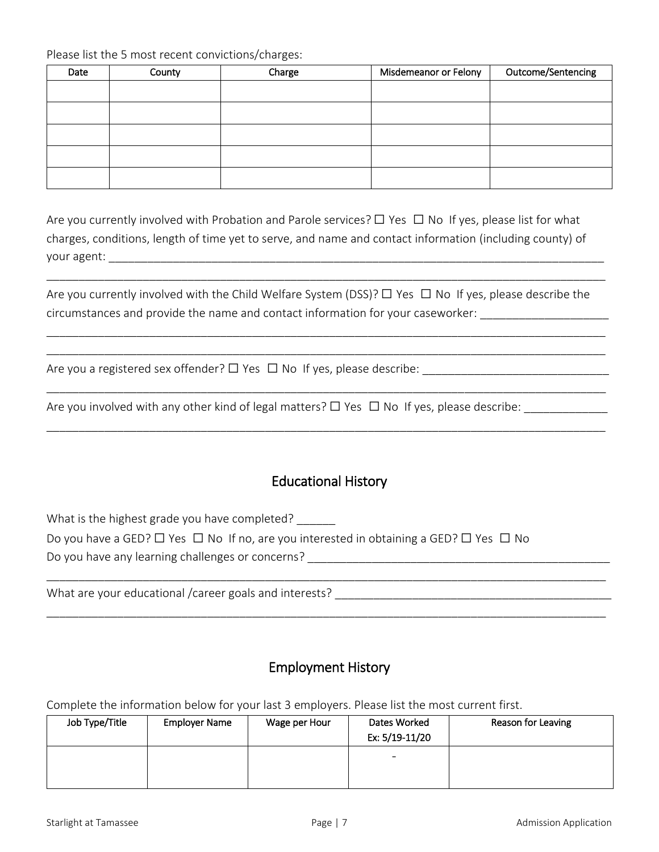Please list the 5 most recent convictions/charges:

| Date | County | Charge | Misdemeanor or Felony | Outcome/Sentencing |
|------|--------|--------|-----------------------|--------------------|
|      |        |        |                       |                    |
|      |        |        |                       |                    |
|      |        |        |                       |                    |
|      |        |        |                       |                    |
|      |        |        |                       |                    |

Are you currently involved with Probation and Parole services?  $\Box$  Yes  $\Box$  No If yes, please list for what charges, conditions, length of time yet to serve, and name and contact information (including county) of your agent:

Are you currently involved with the Child Welfare System (DSS)?  $\Box$  Yes  $\Box$  No If yes, please describe the circumstances and provide the name and contact information for your caseworker:

\_\_\_\_\_\_\_\_\_\_\_\_\_\_\_\_\_\_\_\_\_\_\_\_\_\_\_\_\_\_\_\_\_\_\_\_\_\_\_\_\_\_\_\_\_\_\_\_\_\_\_\_\_\_\_\_\_\_\_\_\_\_\_\_\_\_\_\_\_\_\_\_\_\_\_\_\_\_\_\_\_\_\_\_\_\_\_

\_\_\_\_\_\_\_\_\_\_\_\_\_\_\_\_\_\_\_\_\_\_\_\_\_\_\_\_\_\_\_\_\_\_\_\_\_\_\_\_\_\_\_\_\_\_\_\_\_\_\_\_\_\_\_\_\_\_\_\_\_\_\_\_\_\_\_\_\_\_\_\_\_\_\_\_\_\_\_\_\_\_\_\_\_\_\_ \_\_\_\_\_\_\_\_\_\_\_\_\_\_\_\_\_\_\_\_\_\_\_\_\_\_\_\_\_\_\_\_\_\_\_\_\_\_\_\_\_\_\_\_\_\_\_\_\_\_\_\_\_\_\_\_\_\_\_\_\_\_\_\_\_\_\_\_\_\_\_\_\_\_\_\_\_\_\_\_\_\_\_\_\_\_\_

\_\_\_\_\_\_\_\_\_\_\_\_\_\_\_\_\_\_\_\_\_\_\_\_\_\_\_\_\_\_\_\_\_\_\_\_\_\_\_\_\_\_\_\_\_\_\_\_\_\_\_\_\_\_\_\_\_\_\_\_\_\_\_\_\_\_\_\_\_\_\_\_\_\_\_\_\_\_\_\_\_\_\_\_\_\_\_

\_\_\_\_\_\_\_\_\_\_\_\_\_\_\_\_\_\_\_\_\_\_\_\_\_\_\_\_\_\_\_\_\_\_\_\_\_\_\_\_\_\_\_\_\_\_\_\_\_\_\_\_\_\_\_\_\_\_\_\_\_\_\_\_\_\_\_\_\_\_\_\_\_\_\_\_\_\_\_\_\_\_\_\_\_\_\_

Are you a registered sex offender?  $\Box$  Yes  $\Box$  No If yes, please describe:

Are you involved with any other kind of legal matters?  $\Box$  Yes  $\Box$  No If yes, please describe:

## Educational History

What is the highest grade you have completed?

Do you have a GED?  $\Box$  Yes  $\Box$  No If no, are you interested in obtaining a GED?  $\Box$  Yes  $\Box$  No Do you have any learning challenges or concerns?

What are your educational /career goals and interests?

## Employment History

\_\_\_\_\_\_\_\_\_\_\_\_\_\_\_\_\_\_\_\_\_\_\_\_\_\_\_\_\_\_\_\_\_\_\_\_\_\_\_\_\_\_\_\_\_\_\_\_\_\_\_\_\_\_\_\_\_\_\_\_\_\_\_\_\_\_\_\_\_\_\_\_\_\_\_\_\_\_\_\_\_\_\_\_\_\_\_

\_\_\_\_\_\_\_\_\_\_\_\_\_\_\_\_\_\_\_\_\_\_\_\_\_\_\_\_\_\_\_\_\_\_\_\_\_\_\_\_\_\_\_\_\_\_\_\_\_\_\_\_\_\_\_\_\_\_\_\_\_\_\_\_\_\_\_\_\_\_\_\_\_\_\_\_\_\_\_\_\_\_\_\_\_\_\_

Complete the information below for your last 3 employers. Please list the most current first.

| Job Type/Title | <b>Employer Name</b> | Wage per Hour | Dates Worked<br>Ex: 5/19-11/20 | Reason for Leaving |
|----------------|----------------------|---------------|--------------------------------|--------------------|
|                |                      |               | -                              |                    |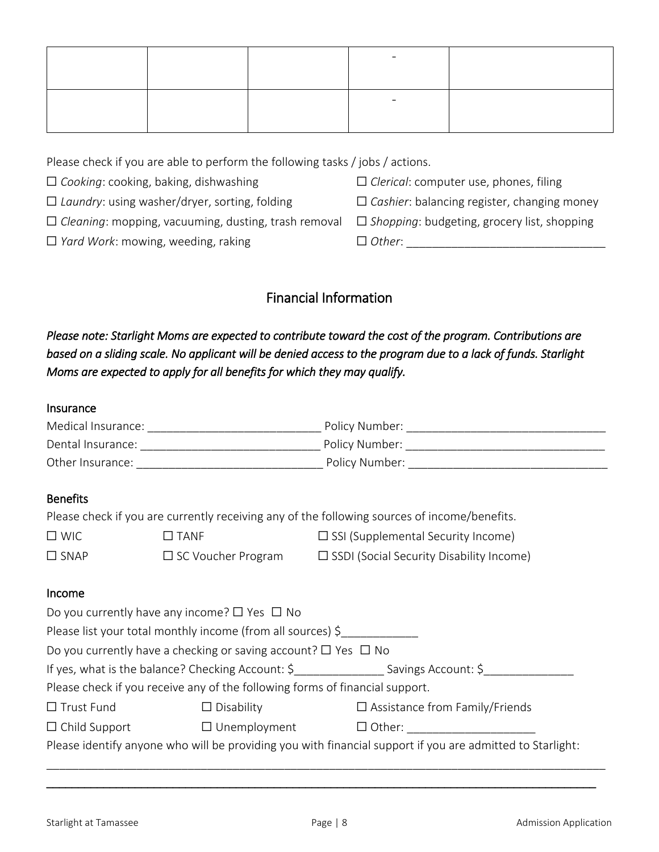Please check if you are able to perform the following tasks / jobs / actions.

- ☐ *Cooking*: cooking, baking, dishwashing ☐ *Clerical*: computer use, phones, filing
- ☐ *Laundry*: using washer/dryer, sorting, folding ☐ *Cashier*: balancing register, changing money
- ☐ *Cleaning*: mopping, vacuuming, dusting, trash removal ☐ *Shopping*: budgeting, grocery list, shopping
- ☐ *Yard Work*: mowing, weeding, raking ☐ *Other*: \_\_\_\_\_\_\_\_\_\_\_\_\_\_\_\_\_\_\_\_\_\_\_\_\_\_\_\_\_\_\_
- 
- 
- -

## Financial Information

*Please note: Starlight Moms are expected to contribute toward the cost of the program. Contributions are based on a sliding scale. No applicant will be denied access to the program due to a lack of funds. Starlight Moms are expected to apply for all benefits for which they may qualify.* 

## Insurance

| <b>Benefits</b>                                                                                           |                                                                              |                                                                                                              |  |  |
|-----------------------------------------------------------------------------------------------------------|------------------------------------------------------------------------------|--------------------------------------------------------------------------------------------------------------|--|--|
|                                                                                                           |                                                                              | Please check if you are currently receiving any of the following sources of income/benefits.                 |  |  |
| $\square$ WIC                                                                                             | $\square$ TANF                                                               | □ SSI (Supplemental Security Income)                                                                         |  |  |
|                                                                                                           |                                                                              | $\Box$ SNAP $\Box$ SC Voucher Program $\Box$ SSDI (Social Security Disability Income)                        |  |  |
|                                                                                                           |                                                                              |                                                                                                              |  |  |
| Income                                                                                                    |                                                                              |                                                                                                              |  |  |
|                                                                                                           | Do you currently have any income? $\Box$ Yes $\Box$ No                       |                                                                                                              |  |  |
|                                                                                                           | Please list your total monthly income (from all sources) \$                  |                                                                                                              |  |  |
|                                                                                                           | Do you currently have a checking or saving account? $\Box$ Yes $\Box$ No     |                                                                                                              |  |  |
|                                                                                                           |                                                                              | If yes, what is the balance? Checking Account: \$______________________Savings Account: \$__________________ |  |  |
|                                                                                                           | Please check if you receive any of the following forms of financial support. |                                                                                                              |  |  |
| $\Box$ Trust Fund                                                                                         |                                                                              | □ Disability □ □ Assistance from Family/Friends                                                              |  |  |
|                                                                                                           |                                                                              |                                                                                                              |  |  |
| Please identify anyone who will be providing you with financial support if you are admitted to Starlight: |                                                                              |                                                                                                              |  |  |

\_\_\_\_\_\_\_\_\_\_\_\_\_\_\_\_\_\_\_\_\_\_\_\_\_\_\_\_\_\_\_\_\_\_\_\_\_\_\_\_\_\_\_\_\_\_\_\_\_\_\_\_\_\_\_\_\_\_\_\_\_\_\_\_\_\_\_\_\_\_\_\_\_\_\_\_\_\_\_\_\_\_\_\_\_\_\_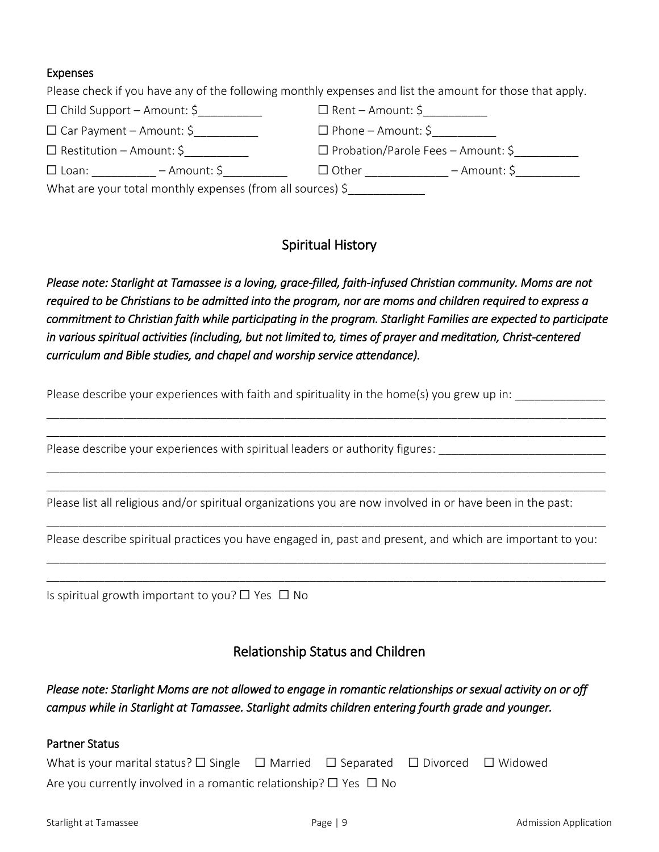## Expenses

Please check if you have any of the following monthly expenses and list the amount for those that apply.

| $\Box$ Child Support – Amount: \$                          | $\square$ Rent – Amount: \$               |  |  |  |
|------------------------------------------------------------|-------------------------------------------|--|--|--|
| $\Box$ Car Payment – Amount: \$                            | $\square$ Phone – Amount: \$              |  |  |  |
| $\square$ Restitution – Amount: \$                         | $\Box$ Probation/Parole Fees – Amount: \$ |  |  |  |
| $\Box$ Loan:<br>– Amount: \$                               | $\Box$ Other<br>– Amount: \$              |  |  |  |
| What are your total monthly expenses (from all sources) \$ |                                           |  |  |  |

## Spiritual History

*Please note: Starlight at Tamassee is a loving, grace-filled, faith-infused Christian community. Moms are not required to be Christians to be admitted into the program, nor are moms and children required to express a commitment to Christian faith while participating in the program. Starlight Families are expected to participate in various spiritual activities (including, but not limited to, times of prayer and meditation, Christ-centered curriculum and Bible studies, and chapel and worship service attendance).* 

\_\_\_\_\_\_\_\_\_\_\_\_\_\_\_\_\_\_\_\_\_\_\_\_\_\_\_\_\_\_\_\_\_\_\_\_\_\_\_\_\_\_\_\_\_\_\_\_\_\_\_\_\_\_\_\_\_\_\_\_\_\_\_\_\_\_\_\_\_\_\_\_\_\_\_\_\_\_\_\_\_\_\_\_\_\_\_ \_\_\_\_\_\_\_\_\_\_\_\_\_\_\_\_\_\_\_\_\_\_\_\_\_\_\_\_\_\_\_\_\_\_\_\_\_\_\_\_\_\_\_\_\_\_\_\_\_\_\_\_\_\_\_\_\_\_\_\_\_\_\_\_\_\_\_\_\_\_\_\_\_\_\_\_\_\_\_\_\_\_\_\_\_\_\_

\_\_\_\_\_\_\_\_\_\_\_\_\_\_\_\_\_\_\_\_\_\_\_\_\_\_\_\_\_\_\_\_\_\_\_\_\_\_\_\_\_\_\_\_\_\_\_\_\_\_\_\_\_\_\_\_\_\_\_\_\_\_\_\_\_\_\_\_\_\_\_\_\_\_\_\_\_\_\_\_\_\_\_\_\_\_\_ \_\_\_\_\_\_\_\_\_\_\_\_\_\_\_\_\_\_\_\_\_\_\_\_\_\_\_\_\_\_\_\_\_\_\_\_\_\_\_\_\_\_\_\_\_\_\_\_\_\_\_\_\_\_\_\_\_\_\_\_\_\_\_\_\_\_\_\_\_\_\_\_\_\_\_\_\_\_\_\_\_\_\_\_\_\_\_

Please describe your experiences with faith and spirituality in the home(s) you grew up in:

Please describe your experiences with spiritual leaders or authority figures:

Please list all religious and/or spiritual organizations you are now involved in or have been in the past:

\_\_\_\_\_\_\_\_\_\_\_\_\_\_\_\_\_\_\_\_\_\_\_\_\_\_\_\_\_\_\_\_\_\_\_\_\_\_\_\_\_\_\_\_\_\_\_\_\_\_\_\_\_\_\_\_\_\_\_\_\_\_\_\_\_\_\_\_\_\_\_\_\_\_\_\_\_\_\_\_\_\_\_\_\_\_\_ Please describe spiritual practices you have engaged in, past and present, and which are important to you: \_\_\_\_\_\_\_\_\_\_\_\_\_\_\_\_\_\_\_\_\_\_\_\_\_\_\_\_\_\_\_\_\_\_\_\_\_\_\_\_\_\_\_\_\_\_\_\_\_\_\_\_\_\_\_\_\_\_\_\_\_\_\_\_\_\_\_\_\_\_\_\_\_\_\_\_\_\_\_\_\_\_\_\_\_\_\_

\_\_\_\_\_\_\_\_\_\_\_\_\_\_\_\_\_\_\_\_\_\_\_\_\_\_\_\_\_\_\_\_\_\_\_\_\_\_\_\_\_\_\_\_\_\_\_\_\_\_\_\_\_\_\_\_\_\_\_\_\_\_\_\_\_\_\_\_\_\_\_\_\_\_\_\_\_\_\_\_\_\_\_\_\_\_\_

Is spiritual growth important to you?  $\Box$  Yes  $\Box$  No

## Relationship Status and Children

*Please note: Starlight Moms are not allowed to engage in romantic relationships or sexual activity on or off campus while in Starlight at Tamassee. Starlight admits children entering fourth grade and younger.* 

#### Partner Status

| What is your marital status? $\Box$ Single $\Box$ Married $\Box$ Separated $\Box$ Divorced $\Box$ Widowed |  |  |  |
|-----------------------------------------------------------------------------------------------------------|--|--|--|
| Are you currently involved in a romantic relationship? $\Box$ Yes $\Box$ No                               |  |  |  |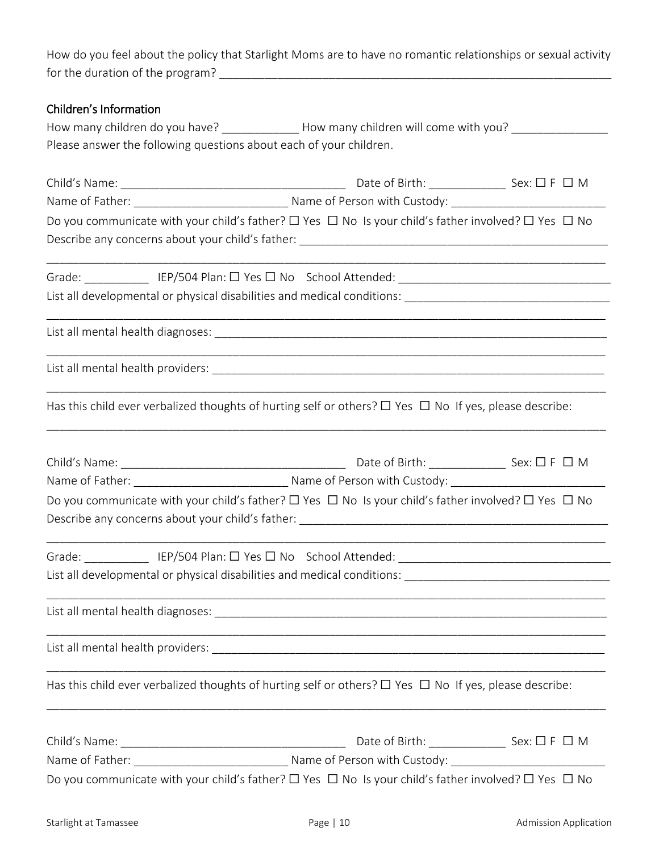How do you feel about the policy that Starlight Moms are to have no romantic relationships or sexual activity for the duration of the program? \_\_\_\_\_\_\_\_\_\_\_\_\_\_\_\_\_\_\_\_\_\_\_\_\_\_\_\_\_\_\_\_\_\_\_\_\_\_\_\_\_\_\_\_\_\_\_\_\_\_\_\_\_\_\_\_\_\_\_\_\_

| Children's Information |                                                                                                                         |                                                                                                                        |  |  |  |  |  |
|------------------------|-------------------------------------------------------------------------------------------------------------------------|------------------------------------------------------------------------------------------------------------------------|--|--|--|--|--|
|                        | How many children do you have? _______________How many children will come with you? _______________                     |                                                                                                                        |  |  |  |  |  |
|                        | Please answer the following questions about each of your children.                                                      |                                                                                                                        |  |  |  |  |  |
|                        |                                                                                                                         |                                                                                                                        |  |  |  |  |  |
|                        |                                                                                                                         |                                                                                                                        |  |  |  |  |  |
|                        | Do you communicate with your child's father? $\Box$ Yes $\Box$ No Is your child's father involved? $\Box$ Yes $\Box$ No |                                                                                                                        |  |  |  |  |  |
|                        |                                                                                                                         |                                                                                                                        |  |  |  |  |  |
|                        |                                                                                                                         |                                                                                                                        |  |  |  |  |  |
|                        |                                                                                                                         |                                                                                                                        |  |  |  |  |  |
|                        |                                                                                                                         |                                                                                                                        |  |  |  |  |  |
|                        | Has this child ever verbalized thoughts of hurting self or others? $\Box$ Yes $\Box$ No If yes, please describe:        | <u> 1989 - Johann John Stone, markin film yn y brening yn y brening yn y brening yn y brening yn y brening y breni</u> |  |  |  |  |  |
|                        |                                                                                                                         |                                                                                                                        |  |  |  |  |  |
|                        |                                                                                                                         |                                                                                                                        |  |  |  |  |  |
|                        | Do you communicate with your child's father? $\Box$ Yes $\Box$ No Is your child's father involved? $\Box$ Yes $\Box$ No |                                                                                                                        |  |  |  |  |  |
|                        |                                                                                                                         |                                                                                                                        |  |  |  |  |  |
|                        |                                                                                                                         |                                                                                                                        |  |  |  |  |  |
|                        |                                                                                                                         |                                                                                                                        |  |  |  |  |  |
|                        |                                                                                                                         |                                                                                                                        |  |  |  |  |  |
|                        | Has this child ever verbalized thoughts of hurting self or others? $\Box$ Yes $\Box$ No If yes, please describe:        | <u> 2000 - Jan James James Jan James James James James James James James James James James James James James Jam</u>   |  |  |  |  |  |
|                        |                                                                                                                         |                                                                                                                        |  |  |  |  |  |
|                        |                                                                                                                         |                                                                                                                        |  |  |  |  |  |
|                        | Do you communicate with your child's father? $\Box$ Yes $\Box$ No Is your child's father involved? $\Box$ Yes $\Box$ No |                                                                                                                        |  |  |  |  |  |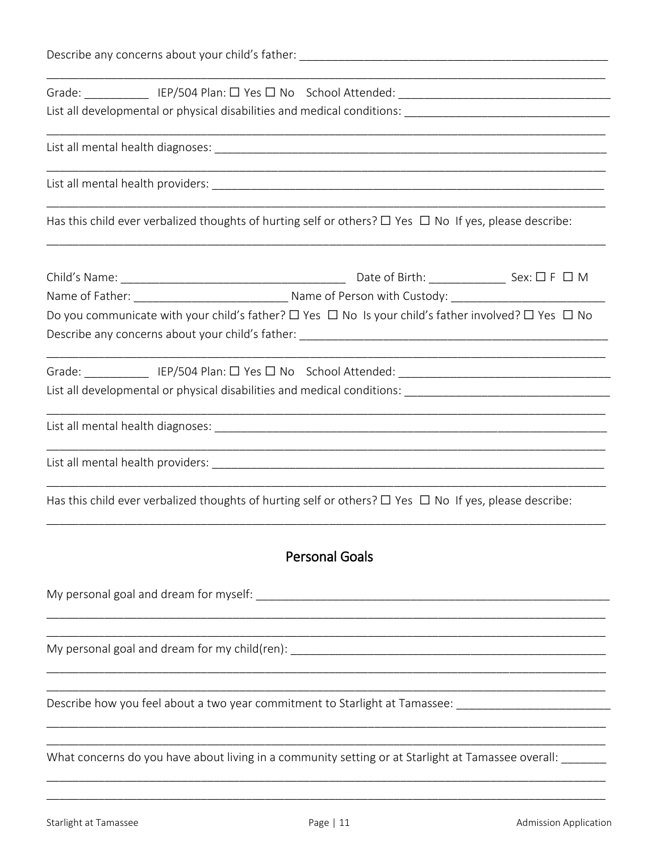|  | Has this child ever verbalized thoughts of hurting self or others? $\Box$ Yes $\Box$ No If yes, please describe:        |  |  |  |  |  |
|--|-------------------------------------------------------------------------------------------------------------------------|--|--|--|--|--|
|  |                                                                                                                         |  |  |  |  |  |
|  | Do you communicate with your child's father? $\Box$ Yes $\Box$ No Is your child's father involved? $\Box$ Yes $\Box$ No |  |  |  |  |  |
|  |                                                                                                                         |  |  |  |  |  |
|  |                                                                                                                         |  |  |  |  |  |
|  |                                                                                                                         |  |  |  |  |  |
|  | Has this child ever verbalized thoughts of hurting self or others? $\Box$ Yes $\Box$ No If yes, please describe:        |  |  |  |  |  |
|  | <b>Personal Goals</b>                                                                                                   |  |  |  |  |  |
|  |                                                                                                                         |  |  |  |  |  |
|  |                                                                                                                         |  |  |  |  |  |
|  | Describe how you feel about a two year commitment to Starlight at Tamassee: ________________________                    |  |  |  |  |  |
|  | What concerns do you have about living in a community setting or at Starlight at Tamassee overall:                      |  |  |  |  |  |